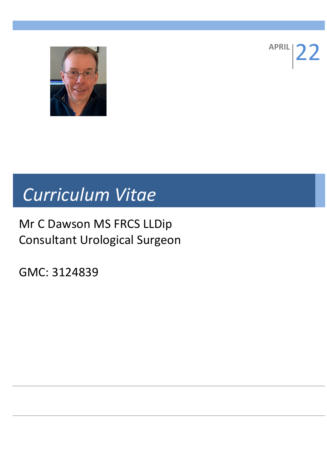

**APRIL** 

# *Curriculum Vitae*

# Mr C Dawson MS FRCS LLDip Consultant Urological Surgeon

GMC: 3124839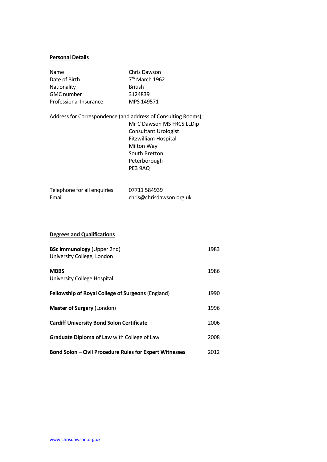#### **Personal Details**

| <b>Name</b>            | Chris Dawson     |
|------------------------|------------------|
| Date of Birth          | $7th$ March 1962 |
| Nationality            | <b>British</b>   |
| <b>GMC</b> number      | 3124839          |
| Professional Insurance | MPS 149571       |

Address for Correspondence (and address of Consulting Rooms); Mr C Dawson MS FRCS LLDip Consultant Urologist Fitzwilliam Hospital Milton Way South Bretton Peterborough PE3 9AQ

| Telephone for all enquiries | 07711 584939             |
|-----------------------------|--------------------------|
| Email                       | chris@chrisdawson.org.uk |

### **Degrees and Qualifications**

| <b>BSc Immunology</b> (Upper 2nd)<br>University College, London | 1983 |
|-----------------------------------------------------------------|------|
| <b>MBBS</b><br>University College Hospital                      | 1986 |
| <b>Fellowship of Royal College of Surgeons (England)</b>        | 1990 |
| <b>Master of Surgery (London)</b>                               | 1996 |
| <b>Cardiff University Bond Solon Certificate</b>                | 2006 |
| <b>Graduate Diploma of Law with College of Law</b>              | 2008 |
| <b>Bond Solon – Civil Procedure Rules for Expert Witnesses</b>  | 2012 |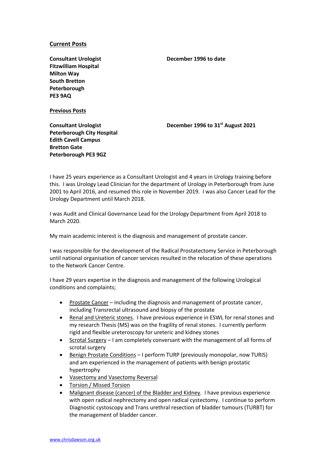#### **Current Posts**

**Consultant Urologist Fitzwilliam Hospital Milton Way South Bretton Peterborough PE3 9AQ**

**Previous Posts**

**December 1996 to date**

**December 1996 to 31st August 2021**

**Consultant Urologist Peterborough City Hospital Edith Cavell Campus Bretton Gate Peterborough PE3 9GZ**

I have 25 years experience as a Consultant Urologist and 4 years in Urology training before this. I was Urology Lead Clinician for the department of Urology in Peterborough from June 2001 to April 2016, and resumed this role in November 2019. I was also Cancer Lead for the Urology Department until March 2018.

I was Audit and Clinical Governance Lead for the Urology Department from April 2018 to March 2020.

My main academic interest is the diagnosis and management of prostate cancer.

I was responsible for the development of the Radical Prostatectomy Service in Peterborough until national organisation of cancer services resulted in the relocation of these operations to the Network Cancer Centre.

I have 29 years expertise in the diagnosis and management of the following Urological conditions and complaints;

- Prostate Cancer including the diagnosis and management of prostate cancer, including Transrectal ultrasound and biopsy of the prostate
- Renal and Ureteric stones. I have previous experience in ESWL for renal stones and my research Thesis (MS) was on the fragility of renal stones. I currently perform rigid and flexible ureteroscopy for ureteric and kidney stones
- Scrotal Surgery I am completely conversant with the management of all forms of scrotal surgery
- Benign Prostate Conditions I perform TURP (previously monopolar, now TURIS) and am experienced in the management of patients with benign prostatic hypertrophy
- Vasectomy and Vasectomy Reversal
- Torsion / Missed Torsion
- Malignant disease (cancer) of the Bladder and Kidney. I have previous experience with open radical nephrectomy and open radical cystectomy. I continue to perform Diagnostic cystoscopy and Trans urethral resection of bladder tumours (TURBT) for the management of bladder cancer.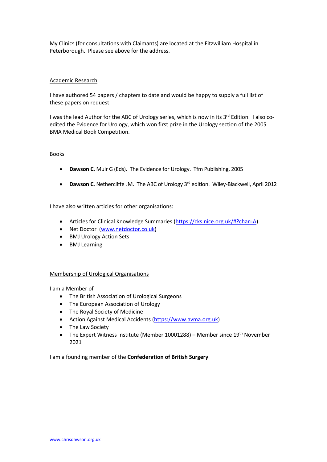My Clinics (for consultations with Claimants) are located at the Fitzwilliam Hospital in Peterborough. Please see above for the address.

#### Academic Research

I have authored 54 papers / chapters to date and would be happy to supply a full list of these papers on request.

I was the lead Author for the ABC of Urology series, which is now in its 3<sup>rd</sup> Edition. I also coedited the Evidence for Urology, which won first prize in the Urology section of the 2005 BMA Medical Book Competition.

#### Books

- **Dawson C**, Muir G (Eds). The Evidence for Urology. Tfm Publishing, 2005
- Dawson C, Nethercliffe JM. The ABC of Urology 3<sup>rd</sup> edition. Wiley-Blackwell, April 2012

I have also written articles for other organisations:

- Articles for Clinical Knowledge Summaries (https://cks.nice.org.uk/#?char=A)
- Net Doctor (www.netdoctor.co.uk)
- BMJ Urology Action Sets
- BMJ Learning

#### Membership of Urological Organisations

I am a Member of

- The British Association of Urological Surgeons
- The European Association of Urology
- The Royal Society of Medicine
- Action Against Medical Accidents (https://www.avma.org.uk)
- The Law Society
- The Expert Witness Institute (Member 10001288) Member since 19<sup>th</sup> November 2021

I am a founding member of the **Confederation of British Surgery**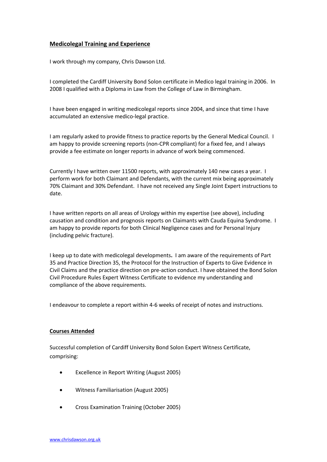## **Medicolegal Training and Experience**

I work through my company, Chris Dawson Ltd.

I completed the Cardiff University Bond Solon certificate in Medico legal training in 2006. In 2008 I qualified with a Diploma in Law from the College of Law in Birmingham.

I have been engaged in writing medicolegal reports since 2004, and since that time I have accumulated an extensive medico-legal practice.

I am regularly asked to provide fitness to practice reports by the General Medical Council. I am happy to provide screening reports (non-CPR compliant) for a fixed fee, and I always provide a fee estimate on longer reports in advance of work being commenced.

Currently I have written over 11500 reports, with approximately 140 new cases a year. I perform work for both Claimant and Defendants, with the current mix being approximately 70% Claimant and 30% Defendant. I have not received any Single Joint Expert instructions to date.

I have written reports on all areas of Urology within my expertise (see above), including causation and condition and prognosis reports on Claimants with Cauda Equina Syndrome. I am happy to provide reports for both Clinical Negligence cases and for Personal Injury (including pelvic fracture).

I keep up to date with medicolegal developments**.** I am aware of the requirements of Part 35 and Practice Direction 35, the Protocol for the Instruction of Experts to Give Evidence in Civil Claims and the practice direction on pre-action conduct. I have obtained the Bond Solon Civil Procedure Rules Expert Witness Certificate to evidence my understanding and compliance of the above requirements.

I endeavour to complete a report within 4-6 weeks of receipt of notes and instructions.

#### **Courses Attended**

Successful completion of Cardiff University Bond Solon Expert Witness Certificate, comprising:

- Excellence in Report Writing (August 2005)
- Witness Familiarisation (August 2005)
- Cross Examination Training (October 2005)